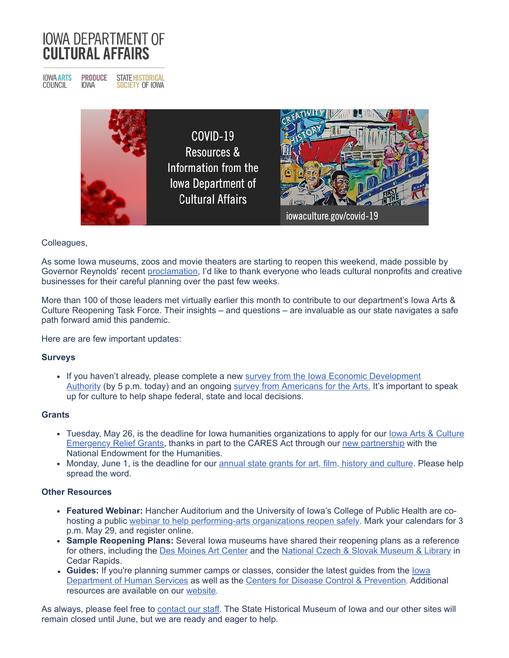# **IOWA DEPARTMENT OF CULTURAL AFFAIRS**

**IOWA ARTS**<br>COUNCIL **PRODUCE STATE HISTORICAL IOWA SOCIETY OF IOWA** 



## Colleagues,

As some Iowa museums, zoos and movie theaters are starting to reopen this weekend, made possible by Governor Reynolds' recent [proclamation,](http://r20.rs6.net/tn.jsp?f=001AnQwCcVvg9nyx1aC_ARpVnVNENielxu6r4O6V7pXqBMUGMPT5u6oxJwXeWn3GRuwhC5Nfz0LzLkNzg36BUhCk-lld3VU_eshU7ZPLIzV0FVmC9WLyiNiT_WVdrOjp0gtzoJTHzb9uynDroNusZmMd2TnwlHYGlqKTGaYDZh4IYXKmUAxwdLzCrPTfPJg_6iHRn6efgqig-y0Ou26v5TzqXqGdeh564OXnZaELgOVkzsJVSF3CFhq1Cney0dYBgoh913kBfGE1jq2d_4DNLvvUg==&c=pUkyhn5qBIN7ML50WxBGhCpVyU95s6Jpi0qU37GO61JFa13NId_RfA==&ch=0QB84sc37yY8b3fJTUr2RIkS6_r5pPdCEFyzlSH2OGbiCiuyB-QwBA==) I'd like to thank everyone who leads cultural nonprofits and creative businesses for their careful planning over the past few weeks.

More than 100 of those leaders met virtually earlier this month to contribute to our department's Iowa Arts & Culture Reopening Task Force. Their insights – and questions – are invaluable as our state navigates a safe path forward amid this pandemic.

Here are are few important updates:

### **Surveys**

• [If you haven't already, please complete a new](http://r20.rs6.net/tn.jsp?f=001AnQwCcVvg9nyx1aC_ARpVnVNENielxu6r4O6V7pXqBMUGMPT5u6oxNqGAFaq3px3j4ktVG_A5S4ch9o1zw7Quz6sj0s9qC9O3awHVzytl_7MExMLcC_0d0iFSZ6fkveioPFUX3GoJqeq66J89viPJUG5l3jrpDz7bkwSSFaLbmSRgtWZWq5-c6LyDSpLdcQI&c=pUkyhn5qBIN7ML50WxBGhCpVyU95s6Jpi0qU37GO61JFa13NId_RfA==&ch=0QB84sc37yY8b3fJTUr2RIkS6_r5pPdCEFyzlSH2OGbiCiuyB-QwBA==) survey from the Iowa Economic Development Authority (by 5 p.m. today) and an ongoing [survey from Americans for the Arts.](http://r20.rs6.net/tn.jsp?f=001AnQwCcVvg9nyx1aC_ARpVnVNENielxu6r4O6V7pXqBMUGMPT5u6oxF82kd-afvZF8R9hUM8KYN2GnWUxhCnnnvPuwGi9DfRWKFCWeto6xaXi2-FgrHAthMqbCf5e_ycJP0RpifsmNgwTKqkneVWlpcEdKGtdIj48MgCnvN0TtZWKOb73I7kOp82ll-8G0cvmBEDwGs3JHSI=&c=pUkyhn5qBIN7ML50WxBGhCpVyU95s6Jpi0qU37GO61JFa13NId_RfA==&ch=0QB84sc37yY8b3fJTUr2RIkS6_r5pPdCEFyzlSH2OGbiCiuyB-QwBA==) It's important to speak up for culture to help shape federal, state and local decisions.

### **Grants**

- [Tuesday, May 26, is the deadline for Iowa humanities organizations to apply for our](http://r20.rs6.net/tn.jsp?f=001AnQwCcVvg9nyx1aC_ARpVnVNENielxu6r4O6V7pXqBMUGMPT5u6oxNHmzN2p89jAy7fQc5TnejNViuDQ-prNZgYZClu-bnrsCna0pxaPWywl5D0LrAUdsS7vX70s3tou-Ibc0FGo86IMLBOJDmUAKM_UFoDSyuPbpBPzSdxbr1uZHfq40UxZ8AjLRnAsFgqt8vazmHo_95yrBf3MTaKKEA==&c=pUkyhn5qBIN7ML50WxBGhCpVyU95s6Jpi0qU37GO61JFa13NId_RfA==&ch=0QB84sc37yY8b3fJTUr2RIkS6_r5pPdCEFyzlSH2OGbiCiuyB-QwBA==) lowa Arts & Culture Emergency Relief Grants, thanks in part to the CARES Act through our [new partnership](http://r20.rs6.net/tn.jsp?f=001AnQwCcVvg9nyx1aC_ARpVnVNENielxu6r4O6V7pXqBMUGMPT5u6oxBquFJ8hDe7gLBuA8nI9w2TJoWOOAbs76mI7Tn4axk5iOzmqy_ukqbWSNrwIHk93736pwn1HJvyUr-e49Hoby5sC5AWsiJJRtIrkIiAdJUp0hBv65UqZ8XJhuZliz2TByiXU0XPg54gYQ3bOPP-QhjlRAZaKCNloqrBDhkJSTApb4dr5WH3KPDZ31_zdHDpH5bJphcEINv6zRx1_R6CcdfHi187Y464xJw==&c=pUkyhn5qBIN7ML50WxBGhCpVyU95s6Jpi0qU37GO61JFa13NId_RfA==&ch=0QB84sc37yY8b3fJTUr2RIkS6_r5pPdCEFyzlSH2OGbiCiuyB-QwBA==) with the National Endowment for the Humanities.
- Monday, June 1, is the deadline for our [annual state grants for art, film, history and culture](http://r20.rs6.net/tn.jsp?f=001AnQwCcVvg9nyx1aC_ARpVnVNENielxu6r4O6V7pXqBMUGMPT5u6oxP96KxZgvb-uFSAbDhyeZbygmIfYWo3Z79tinGUMNyu48By74W_5v3vwGBm3dl2MkJws-qanqZlsH2Vs0Stg8X-Lj72NmxltgWrhTTyODwgwv_fuQRvQGXTl1jBY9JkulQ==&c=pUkyhn5qBIN7ML50WxBGhCpVyU95s6Jpi0qU37GO61JFa13NId_RfA==&ch=0QB84sc37yY8b3fJTUr2RIkS6_r5pPdCEFyzlSH2OGbiCiuyB-QwBA==). Please help spread the word.

### **Other Resources**

- **Featured Webinar:** Hancher Auditorium and the University of Iowa's College of Public Health are cohosting a public [webinar to help performing-arts organizations reopen safely.](http://r20.rs6.net/tn.jsp?f=001AnQwCcVvg9nyx1aC_ARpVnVNENielxu6r4O6V7pXqBMUGMPT5u6oxJwXeWn3GRuwDI2hmqzR0ew-dvustQaKA4Q01CA30UmflDVxpAQegyTmLc4KiOqo0OYSbJ8FXRnzQJodXbS87B2WQaxnOxGlBx7UyCxWqUAEVq0R7WeyMPUq9vj--S4aqgZMTmJ2vHtdtGr8cED-ETP_Gjiu2ctv8kcfOK3kQUDjtK8vGRgSByeYWI1F-mGv3w==&c=pUkyhn5qBIN7ML50WxBGhCpVyU95s6Jpi0qU37GO61JFa13NId_RfA==&ch=0QB84sc37yY8b3fJTUr2RIkS6_r5pPdCEFyzlSH2OGbiCiuyB-QwBA==) Mark your calendars for 3 p.m. May 29, and register online.
- **Sample Reopening Plans:** Several Iowa museums have shared their reopening plans as a reference for others, including the [Des Moines Art Center](http://r20.rs6.net/tn.jsp?f=001AnQwCcVvg9nyx1aC_ARpVnVNENielxu6r4O6V7pXqBMUGMPT5u6oxKLQVaipXTadbLQBxTcP0v2vzQzA9ksqi1We7EctKv_i-LkDbNOUDewd7-aWrkgCLM8OYgDH73OpNI3F5rb8KA8qdsR4mi3zyQEIGdiAc8QgQfd1r74jRonWZ0njduvI3-f8BBs7_sMeJHmfbMZhkF2eci_VQ1qdDgT9j9LLqOUuZVytApg9S1bmZfQ4NyX3Ia5VLOEDpYM_eLyPDYtWkIRuiQubT8mrYgD9zgHLb7KC9vJ1-J9zsBs=&c=pUkyhn5qBIN7ML50WxBGhCpVyU95s6Jpi0qU37GO61JFa13NId_RfA==&ch=0QB84sc37yY8b3fJTUr2RIkS6_r5pPdCEFyzlSH2OGbiCiuyB-QwBA==) and the [National Czech & Slovak Museum & Library](http://r20.rs6.net/tn.jsp?f=001AnQwCcVvg9nyx1aC_ARpVnVNENielxu6r4O6V7pXqBMUGMPT5u6oxKLQVaipXTadcBuLL-ynXN03vfnpccGywn8mHxpDKASM9m_wqXIfVu3HILxTJKIG74C-P-UBTtGSeqd6e1J_J974nfIQ2Oo4pJWswdCvZQKRBNaEbAhPd618-viAeT5XE2Td1hfKtoGkoljLBo2VE84Xqbi_RMJTESkqfIe4se2GcOsecVaEWVLJVqzqBINcAC_pcHIQOKPvtIHdSztaIDjaWuGtD13eV8cK-bxbcpNPnCQZG-cOCPE_gjM2HWTr3REnWdNm85HK&c=pUkyhn5qBIN7ML50WxBGhCpVyU95s6Jpi0qU37GO61JFa13NId_RfA==&ch=0QB84sc37yY8b3fJTUr2RIkS6_r5pPdCEFyzlSH2OGbiCiuyB-QwBA==) in Cedar Rapids.
- Guides: [If you're planning summer camps or classes, consider the latest guides from the](http://r20.rs6.net/tn.jsp?f=001AnQwCcVvg9nyx1aC_ARpVnVNENielxu6r4O6V7pXqBMUGMPT5u6oxKLQVaipXTadVZfNinaeQhbGl68taSFeODA62yQIOmnm7NcJXtqnjgAU7wF3XFSx_9OUVp-VPyfwzFsFC9yAnWixJitF7qYnbxeHhldjCtjaybUMt2DSLW8=&c=pUkyhn5qBIN7ML50WxBGhCpVyU95s6Jpi0qU37GO61JFa13NId_RfA==&ch=0QB84sc37yY8b3fJTUr2RIkS6_r5pPdCEFyzlSH2OGbiCiuyB-QwBA==) **lowa** Department of Human Services as well as the [Centers for Disease Control & Prevention](http://r20.rs6.net/tn.jsp?f=001AnQwCcVvg9nyx1aC_ARpVnVNENielxu6r4O6V7pXqBMUGMPT5u6oxJwXeWn3GRuwz-Nces3eIsaoj56QjmcaN0Z1BFUxPnkYuPGHvpTFugnV8082r1SQjA5hiRqdGWFk_dJFadjl02JjaMUNrnvQGYNHrcshNWpGbp6RR-qzWiEm2euB5EsSNpELZrhOHUVDViDO5tyygKOqpat8qLFLNaIPfGp1GS0_JUUUxKan59DEEtIyrLgMqw==&c=pUkyhn5qBIN7ML50WxBGhCpVyU95s6Jpi0qU37GO61JFa13NId_RfA==&ch=0QB84sc37yY8b3fJTUr2RIkS6_r5pPdCEFyzlSH2OGbiCiuyB-QwBA==). Additional resources are available on our [website](http://r20.rs6.net/tn.jsp?f=001AnQwCcVvg9nyx1aC_ARpVnVNENielxu6r4O6V7pXqBMUGMPT5u6oxEnLl31u9m6cTbPGJI_QeSrhFny_-QIVxKLrLhyyO5bPBcWOjan-92a0MtSZhwsU2ahZ0kRdA7_8_0ZmZIVkTo5UXwC6DNrWtDIRCUp3l7ee&c=pUkyhn5qBIN7ML50WxBGhCpVyU95s6Jpi0qU37GO61JFa13NId_RfA==&ch=0QB84sc37yY8b3fJTUr2RIkS6_r5pPdCEFyzlSH2OGbiCiuyB-QwBA==).

As always, please feel free to [contact our staff.](http://r20.rs6.net/tn.jsp?f=001AnQwCcVvg9nyx1aC_ARpVnVNENielxu6r4O6V7pXqBMUGMPT5u6oxC1gCx8yyGp8SBUWjFrZYCoyBLI2aeM86lUQIUY-ZOmmWUgfe3O_spF1GjUoyRGX6-3OR1FM9fvPP252CE07Ws0C_UDtUpHMaIvduIL8ImbJ_7J-GFN6wC1NcdTH9tfZMg==&c=pUkyhn5qBIN7ML50WxBGhCpVyU95s6Jpi0qU37GO61JFa13NId_RfA==&ch=0QB84sc37yY8b3fJTUr2RIkS6_r5pPdCEFyzlSH2OGbiCiuyB-QwBA==) The State Historical Museum of Iowa and our other sites will remain closed until June, but we are ready and eager to help.